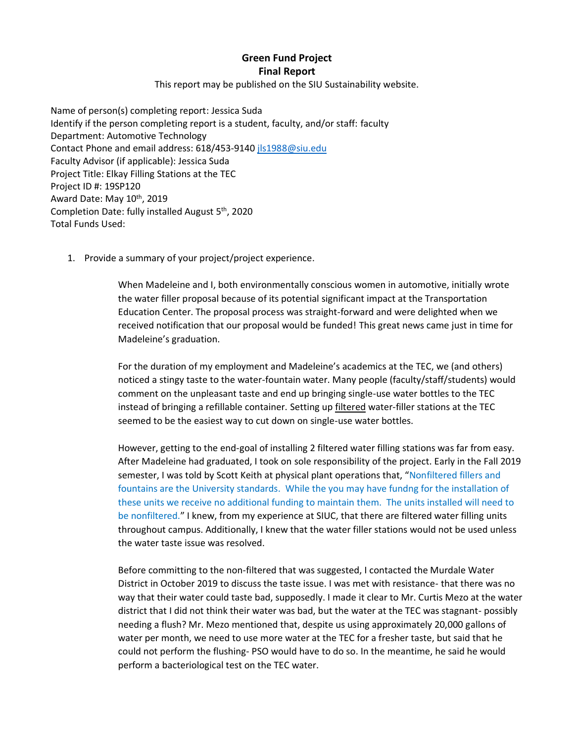**Green Fund Project Final Report**

This report may be published on the SIU Sustainability website.

Name of person(s) completing report: Jessica Suda Identify if the person completing report is a student, faculty, and/or staff: faculty Department: Automotive Technology Contact Phone and email address: 618/453-914[0 jls1988@siu.edu](mailto:jls1988@siu.edu) Faculty Advisor (if applicable): Jessica Suda Project Title: Elkay Filling Stations at the TEC Project ID #: 19SP120 Award Date: May 10<sup>th</sup>, 2019 Completion Date: fully installed August 5th, 2020 Total Funds Used:

1. Provide a summary of your project/project experience.

When Madeleine and I, both environmentally conscious women in automotive, initially wrote the water filler proposal because of its potential significant impact at the Transportation Education Center. The proposal process was straight-forward and were delighted when we received notification that our proposal would be funded! This great news came just in time for Madeleine's graduation.

For the duration of my employment and Madeleine's academics at the TEC, we (and others) noticed a stingy taste to the water-fountain water. Many people (faculty/staff/students) would comment on the unpleasant taste and end up bringing single-use water bottles to the TEC instead of bringing a refillable container. Setting up filtered water-filler stations at the TEC seemed to be the easiest way to cut down on single-use water bottles.

However, getting to the end-goal of installing 2 filtered water filling stations was far from easy. After Madeleine had graduated, I took on sole responsibility of the project. Early in the Fall 2019 semester, I was told by Scott Keith at physical plant operations that, "Nonfiltered fillers and fountains are the University standards. While the you may have fundng for the installation of these units we receive no additional funding to maintain them. The units installed will need to be nonfiltered." I knew, from my experience at SIUC, that there are filtered water filling units throughout campus. Additionally, I knew that the water filler stations would not be used unless the water taste issue was resolved.

Before committing to the non-filtered that was suggested, I contacted the Murdale Water District in October 2019 to discuss the taste issue. I was met with resistance- that there was no way that their water could taste bad, supposedly. I made it clear to Mr. Curtis Mezo at the water district that I did not think their water was bad, but the water at the TEC was stagnant- possibly needing a flush? Mr. Mezo mentioned that, despite us using approximately 20,000 gallons of water per month, we need to use more water at the TEC for a fresher taste, but said that he could not perform the flushing- PSO would have to do so. In the meantime, he said he would perform a bacteriological test on the TEC water.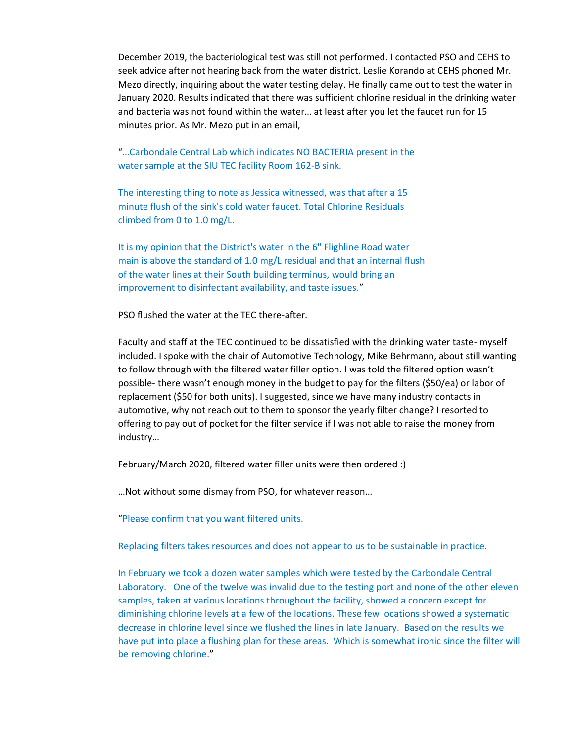December 2019, the bacteriological test was still not performed. I contacted PSO and CEHS to seek advice after not hearing back from the water district. Leslie Korando at CEHS phoned Mr. Mezo directly, inquiring about the water testing delay. He finally came out to test the water in January 2020. Results indicated that there was sufficient chlorine residual in the drinking water and bacteria was not found within the water… at least after you let the faucet run for 15 minutes prior. As Mr. Mezo put in an email,

## "…Carbondale Central Lab which indicates NO BACTERIA present in the water sample at the SIU TEC facility Room 162-B sink.

The interesting thing to note as Jessica witnessed, was that after a 15 minute flush of the sink's cold water faucet. Total Chlorine Residuals climbed from 0 to 1.0 mg/L.

It is my opinion that the District's water in the 6" Flighline Road water main is above the standard of 1.0 mg/L residual and that an internal flush of the water lines at their South building terminus, would bring an improvement to disinfectant availability, and taste issues."

PSO flushed the water at the TEC there-after.

Faculty and staff at the TEC continued to be dissatisfied with the drinking water taste- myself included. I spoke with the chair of Automotive Technology, Mike Behrmann, about still wanting to follow through with the filtered water filler option. I was told the filtered option wasn't possible- there wasn't enough money in the budget to pay for the filters (\$50/ea) or labor of replacement (\$50 for both units). I suggested, since we have many industry contacts in automotive, why not reach out to them to sponsor the yearly filter change? I resorted to offering to pay out of pocket for the filter service if I was not able to raise the money from industry…

February/March 2020, filtered water filler units were then ordered :)

…Not without some dismay from PSO, for whatever reason…

"Please confirm that you want filtered units.

Replacing filters takes resources and does not appear to us to be sustainable in practice.

In February we took a dozen water samples which were tested by the Carbondale Central Laboratory. One of the twelve was invalid due to the testing port and none of the other eleven samples, taken at various locations throughout the facility, showed a concern except for diminishing chlorine levels at a few of the locations. These few locations showed a systematic decrease in chlorine level since we flushed the lines in late January. Based on the results we have put into place a flushing plan for these areas. Which is somewhat ironic since the filter will be removing chlorine."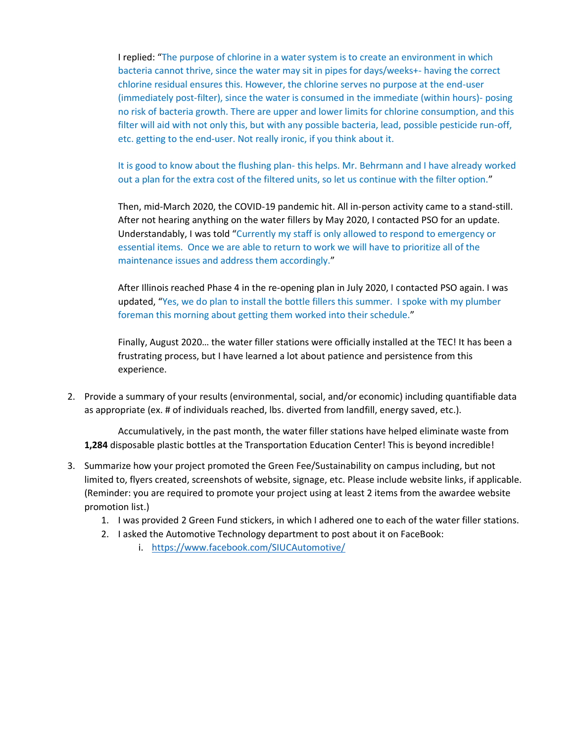I replied: "The purpose of chlorine in a water system is to create an environment in which bacteria cannot thrive, since the water may sit in pipes for days/weeks+- having the correct chlorine residual ensures this. However, the chlorine serves no purpose at the end-user (immediately post-filter), since the water is consumed in the immediate (within hours)- posing no risk of bacteria growth. There are upper and lower limits for chlorine consumption, and this filter will aid with not only this, but with any possible bacteria, lead, possible pesticide run-off, etc. getting to the end-user. Not really ironic, if you think about it.

It is good to know about the flushing plan- this helps. Mr. Behrmann and I have already worked out a plan for the extra cost of the filtered units, so let us continue with the filter option."

Then, mid-March 2020, the COVID-19 pandemic hit. All in-person activity came to a stand-still. After not hearing anything on the water fillers by May 2020, I contacted PSO for an update. Understandably, I was told "Currently my staff is only allowed to respond to emergency or essential items. Once we are able to return to work we will have to prioritize all of the maintenance issues and address them accordingly."

After Illinois reached Phase 4 in the re-opening plan in July 2020, I contacted PSO again. I was updated, "Yes, we do plan to install the bottle fillers this summer. I spoke with my plumber foreman this morning about getting them worked into their schedule."

Finally, August 2020… the water filler stations were officially installed at the TEC! It has been a frustrating process, but I have learned a lot about patience and persistence from this experience.

2. Provide a summary of your results (environmental, social, and/or economic) including quantifiable data as appropriate (ex. # of individuals reached, lbs. diverted from landfill, energy saved, etc.).

Accumulatively, in the past month, the water filler stations have helped eliminate waste from **1,284** disposable plastic bottles at the Transportation Education Center! This is beyond incredible!

- 3. Summarize how your project promoted the Green Fee/Sustainability on campus including, but not limited to, flyers created, screenshots of website, signage, etc. Please include website links, if applicable. (Reminder: you are required to promote your project using at least 2 items from the awardee website promotion list.)
	- 1. I was provided 2 Green Fund stickers, in which I adhered one to each of the water filler stations.
	- 2. I asked the Automotive Technology department to post about it on FaceBook:
		- i. <https://www.facebook.com/SIUCAutomotive/>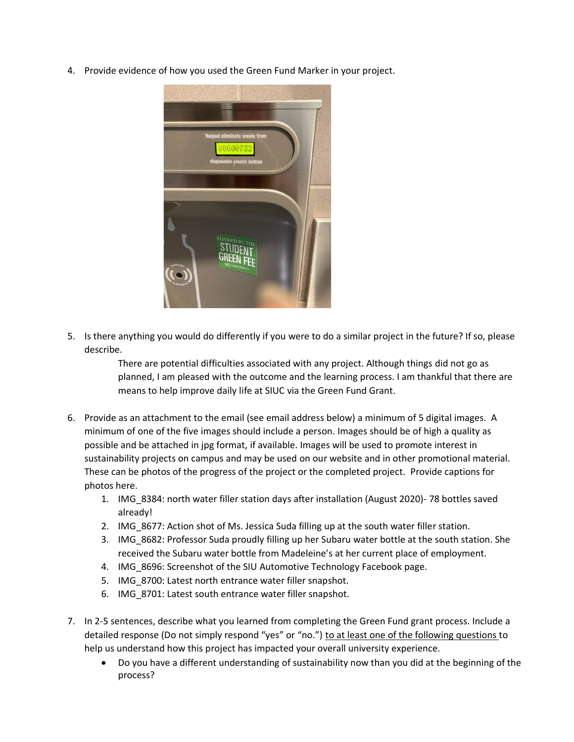4. Provide evidence of how you used the Green Fund Marker in your project.



5. Is there anything you would do differently if you were to do a similar project in the future? If so, please describe.

> There are potential difficulties associated with any project. Although things did not go as planned, I am pleased with the outcome and the learning process. I am thankful that there are means to help improve daily life at SIUC via the Green Fund Grant.

- 6. Provide as an attachment to the email (see email address below) a minimum of 5 digital images. A minimum of one of the five images should include a person. Images should be of high a quality as possible and be attached in jpg format, if available. Images will be used to promote interest in sustainability projects on campus and may be used on our website and in other promotional material. These can be photos of the progress of the project or the completed project. Provide captions for photos here.
	- 1. IMG\_8384: north water filler station days after installation (August 2020)- 78 bottles saved already!
	- 2. IMG\_8677: Action shot of Ms. Jessica Suda filling up at the south water filler station.
	- 3. IMG\_8682: Professor Suda proudly filling up her Subaru water bottle at the south station. She received the Subaru water bottle from Madeleine's at her current place of employment.
	- 4. IMG\_8696: Screenshot of the SIU Automotive Technology Facebook page.
	- 5. IMG\_8700: Latest north entrance water filler snapshot.
	- 6. IMG\_8701: Latest south entrance water filler snapshot.
- 7. In 2-5 sentences, describe what you learned from completing the Green Fund grant process. Include a detailed response (Do not simply respond "yes" or "no.") to at least one of the following questions to help us understand how this project has impacted your overall university experience.
	- Do you have a different understanding of sustainability now than you did at the beginning of the process?